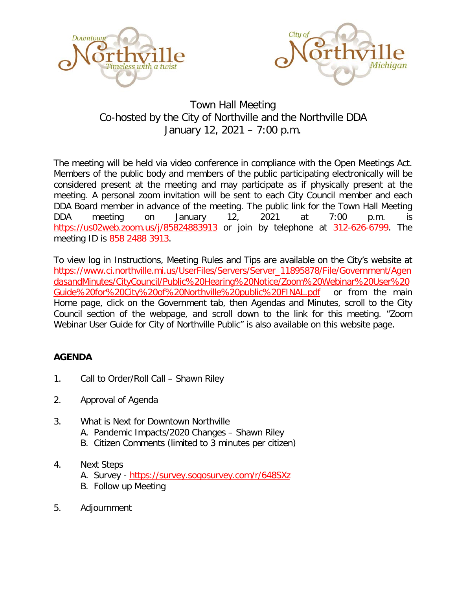



## Town Hall Meeting Co-hosted by the City of Northville and the Northville DDA January 12, 2021 – 7:00 p.m.

The meeting will be held via video conference in compliance with the Open Meetings Act. Members of the public body and members of the public participating electronically will be considered present at the meeting and may participate as if physically present at the meeting. A personal zoom invitation will be sent to each City Council member and each DDA Board member in advance of the meeting. The public link for the Town Hall Meeting DDA meeting on January 12, 2021 at 7:00 p.m. is <https://us02web.zoom.us/j/85824883913> or join by telephone at 312-626-6799. The meeting ID is 858 2488 3913.

To view log in Instructions, Meeting Rules and Tips are available on the City's website at [https://www.ci.northville.mi.us/UserFiles/Servers/Server\\_11895878/File/Government/Agen](https://www.ci.northville.mi.us/UserFiles/Servers/Server_11895878/File/Government/AgendasandMinutes/CityCouncil/Public%20Hearing%20Notice/Zoom%20Webinar%20User%20Guide%20for%20City%20of%20Northville%20public%20FINAL.pdf) [dasandMinutes/CityCouncil/Public%20Hearing%20Notice/Zoom%20Webinar%20User%20](https://www.ci.northville.mi.us/UserFiles/Servers/Server_11895878/File/Government/AgendasandMinutes/CityCouncil/Public%20Hearing%20Notice/Zoom%20Webinar%20User%20Guide%20for%20City%20of%20Northville%20public%20FINAL.pdf) [Guide%20for%20City%20of%20Northville%20public%20FINAL.pdf](https://www.ci.northville.mi.us/UserFiles/Servers/Server_11895878/File/Government/AgendasandMinutes/CityCouncil/Public%20Hearing%20Notice/Zoom%20Webinar%20User%20Guide%20for%20City%20of%20Northville%20public%20FINAL.pdf) or from the main Home page, click on the Government tab, then Agendas and Minutes, scroll to the City Council section of the webpage, and scroll down to the link for this meeting. "Zoom Webinar User Guide for City of Northville Public" is also available on this website page.

## **AGENDA**

- 1. Call to Order/Roll Call Shawn Riley
- 2. Approval of Agenda
- 3. What is Next for Downtown Northville A. Pandemic Impacts/2020 Changes – Shawn Riley
	- B. Citizen Comments (limited to 3 minutes per citizen)
- 4. Next Steps
	- A. Survey [https://survey.sogosurvey.com/r/648SXz](https://linkprotect.cudasvc.com/url?a=https%3a%2f%2fsurvey.sogosurvey.com%2fr%2f648SXz&c=E,1,0OXAlk8nuckiYxrdElbWO77BHh7PL9LfeGyj6yTcN7w7d1UWIIVNBAUbEg9GeJc15ymXLwXEuHfzUafE-6AuAU1G1CSiMXAb9GLtEVWP1dn2IeeuRpOzoJnt&typo=1)
	- B. Follow up Meeting
- 5. Adjournment